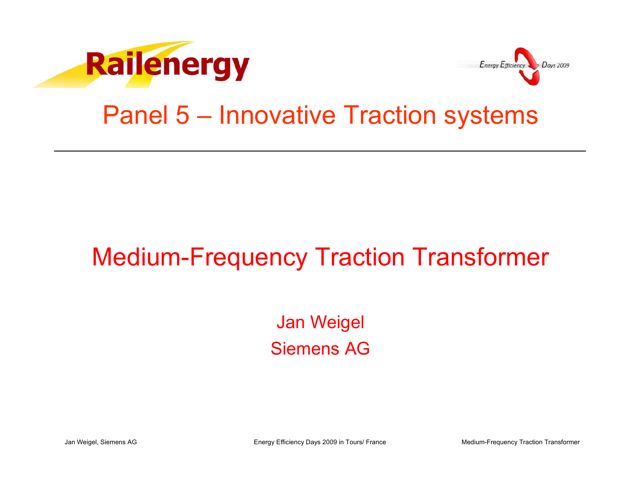



### Panel 5 – Innovative Traction systems

### Medium-Frequency Traction Transformer

Jan Weigel Siemens AG

Jan Weigel, Siemens AG **Energy Efficiency Days 2009 in Tours/ France** Medium-Frequency Traction Transformer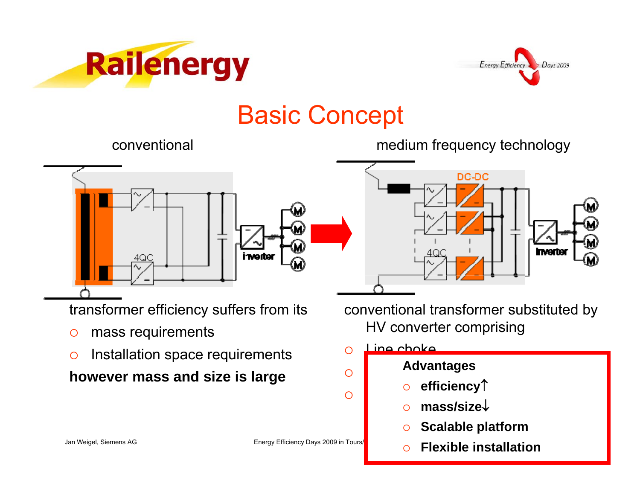



### Basic Concept



transformer efficiency suffers from its

- $\circ$ mass requirements
- $\circ$ Installation space requirements

**however mass and size is large**

conventional medium frequency technology



conventional transformer substituted by HV converter comprising

#### $\bigcirc$ Line choke

 ${\circ}$ 

 ${\circ}$ 

### **series connected converters**

- $\circ$  convertery (  ${\circ}$  **efficiency**↑
	- powerdensity) is a power of the set  $\overline{p}$  of the set  $\overline{p}$  in the set  $\overline{p}$  $\bigcirc$  **mass/size**↓
		- $\circ$ **Scalable platform**
- Jan Weigel, Siemens AG **Energy Efficiency Days 2009 in Tours/ School School Flexible installation**  $\bigcap$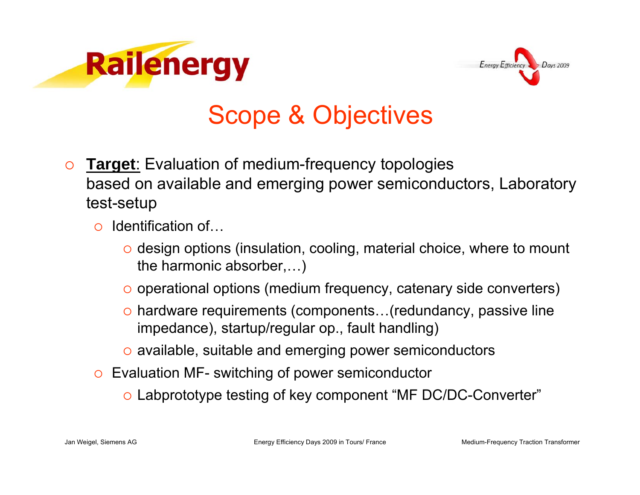



# Scope & Objectives

- $\Omega$  **Target**: Evaluation of medium-frequency topologies based on available and emerging power semiconductors, Laboratory test-setup
	- $\circ$  Identification of...
		- $\circ$  design options (insulation, cooling, material choice, where to mount the harmonic absorber,…)
		- $\circ$  operational options (medium frequency, catenary side converters)
		- $\circ$  hardware requirements (components...(redundancy, passive line impedance), startup/regular op., fault handling)
		- $\circ$  available, suitable and emerging power semiconductors
	- $\circ$  Evaluation MF- switching of power semiconductor
		- $\circ$  Labprototype testing of key component "MF DC/DC-Converter"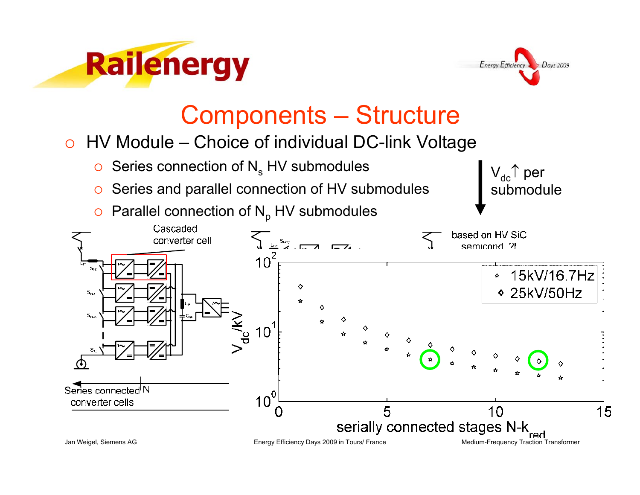



 $\mathsf{V}_{\mathsf{dc}} \, \uparrow$  per

submodule

### Components – Structure

### $\, \circ \,$  HV Module – Choice of individual DC-link Voltage

- $\,\circ\,$  Series connection of N $_{\rm s}$  HV submodules
- ${\circ}$ Series and parallel connection of HV submodules
- ${\circ}$ Parallel connection of  $N_p$  HV submodules

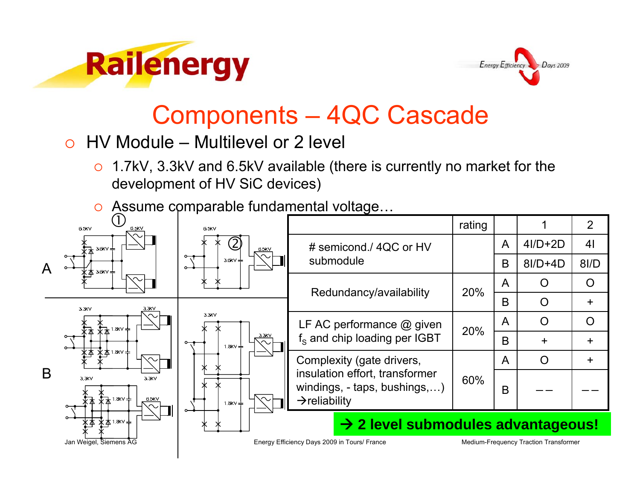



### Components – 4QC Cascade

- { HV Module Multilevel or 2 level
	- $\bigcirc$  1.7kV, 3.3kV and 6.5kV available (there is currently no market for the development of HV SiC devices)
	- $\circ$  Assume comparable fundamental voltage...

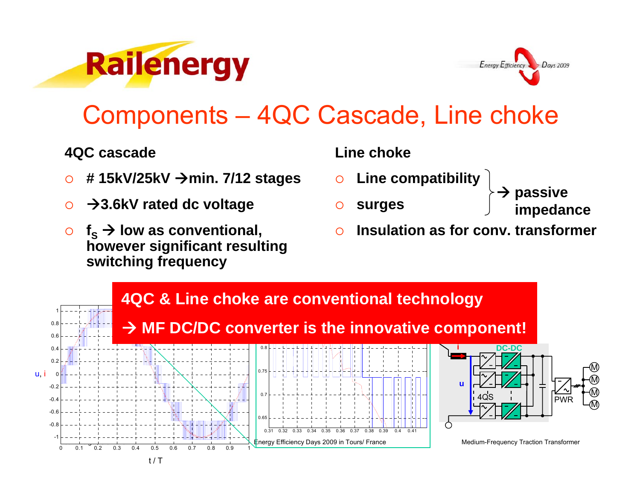



### Components – 4QC Cascade, Line choke

### **4QC cascade**

- $\circ$ **# 15kV/25kV** Æ**min. 7/12 stages**
- $\bigcap$  $→3.6$ **kV rated dc voltage**
- $\circ$  $\circ$  f<sub>s</sub>  $\rightarrow$  low as conventional, **however significant resulting switching frequency**

### **Line choke**

- ${\circ}$ **Line compatibility**
- $\Omega$ **surges**
- $\rightarrow$ **passive**
- **impedance**
- $\Omega$ **Insulation as for conv. transformer**

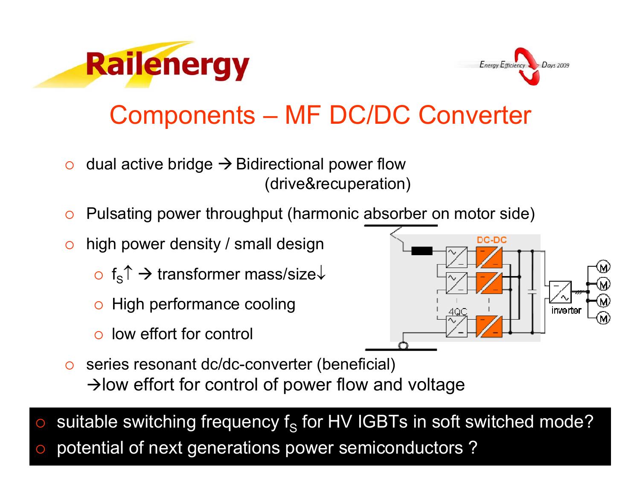



# Components – MF DC/DC Converter

- ${\bigcirc}$ dual active bridge  $\rightarrow$  Bidirectional power flow (drive&recuperation)
- ${\circ}$ Pulsating power throughput (harmonic absorber on motor side)
- $\circ$  high power density / small design
	- $\circ \;$  f $_{\rm S}$ ↑  $\to$  transformer mass/size $\downarrow$
	- $\circ$  High performance cooling
	- ${\color{black} \bigcirc}$ low effort for control



 $\circ$  series resonant dc/dc-converter (beneficial)  $\rightarrow$  low effort for control of power flow and voltage

o potential of next generations power semiconductors ?  ${\color{blue}\bigcirc}$  $\circ$  suitable switching frequency f<sub>s</sub> for HV IGBTs in soft switched mode?  ${\color{blue}O}$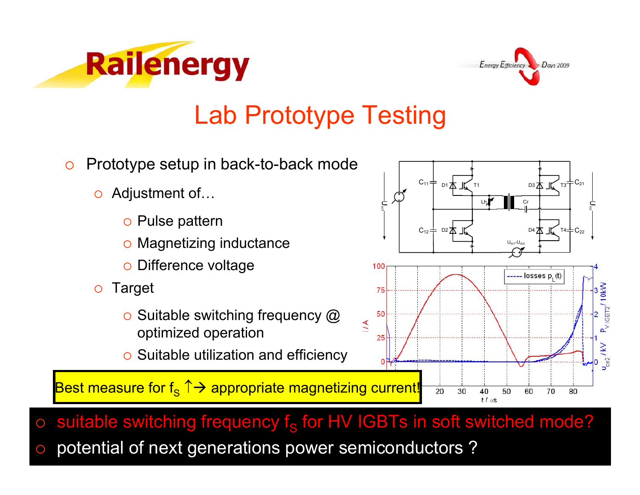



### Lab Prototype Testing

- ${\circ}$  Prototype setup in back-to-back mode
	- Adjustment of…
		- **o Pulse pattern**
		- $\, \circ \,$  Magnetizing inductance
		- **o Difference voltage**
	- ${\circ}$  Target
		- $\circ$  Suitable switching frequency  $\circledR$ optimized operation
		- $\circ$  Suitable utilization and efficiency

Best measure for f $_\mathrm{S}$  ↑ $\rightarrow$  appropriate magnetizing current!



o potential of next generations power semiconductors ?  ${\color{blue}\bigcirc}$ 

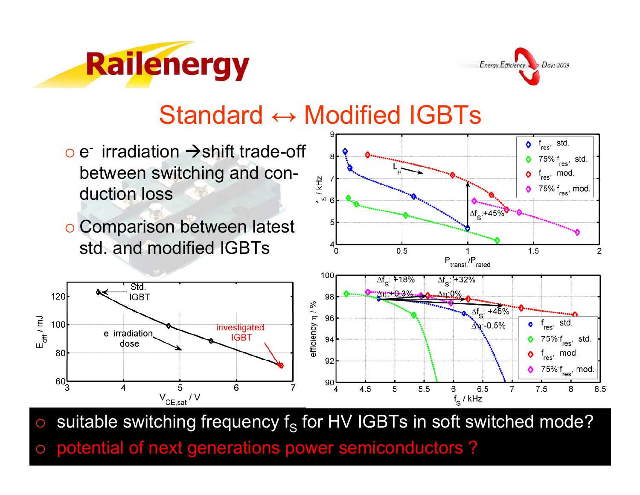



### Standard ↔ Modified IGBTs

- $\circ$  e- irradiation  $\rightarrow$ shift trade-off between switching and conduction loss
- o Comparison between latest std. and modified IGBTs





 ${\color{blue}\bigcirc}$  $\circ$  suitable switching frequency f<sub>s</sub> for HV IGBTs in soft switched mode?

o potential of next generations power semiconductors ?  ${\color{blue}O}$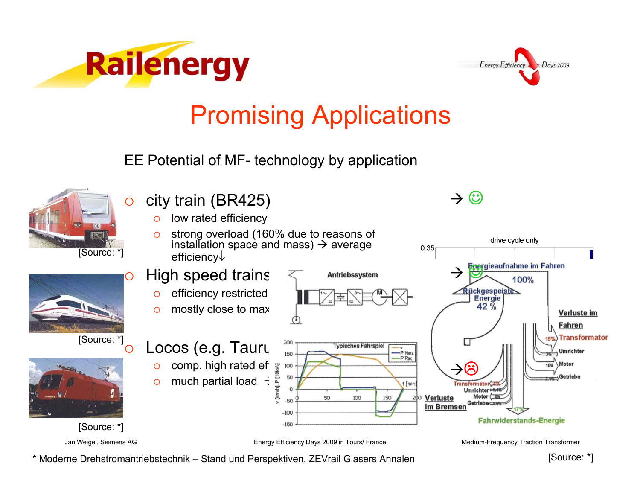



drive cycle only

 $\rightarrow \odot$ 

0.35

# Promising Applications

EE Potential of MF- technology by application



### city train (BR425)

- $\circ$ low rated efficiency
- $\bigcirc$  strong overload (160% due to reasons of installation space and mass)  $\rightarrow$  average efficiency↓



\* Moderne Drehstromantriebstechnik – Stand und Perspektiven, ZEVrail Glasers Annalen

[Source: \*]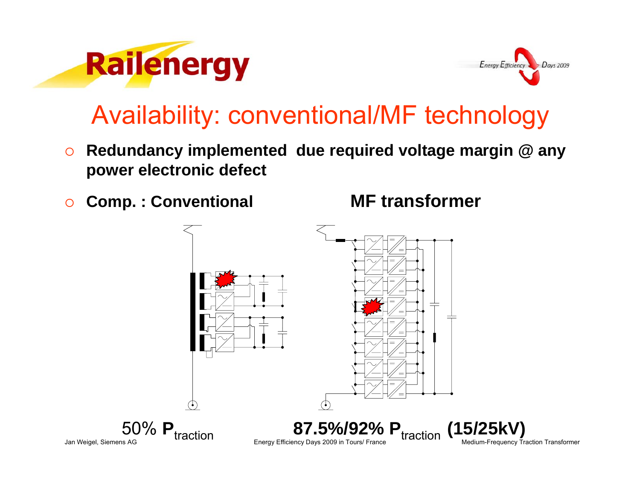



## Availability: conventional/MF technology

- $\circ$  **Redundancy implemented due required voltage margin @ any power electronic defect**
- $\circ$ **Comp. : Conventional MF transformer**